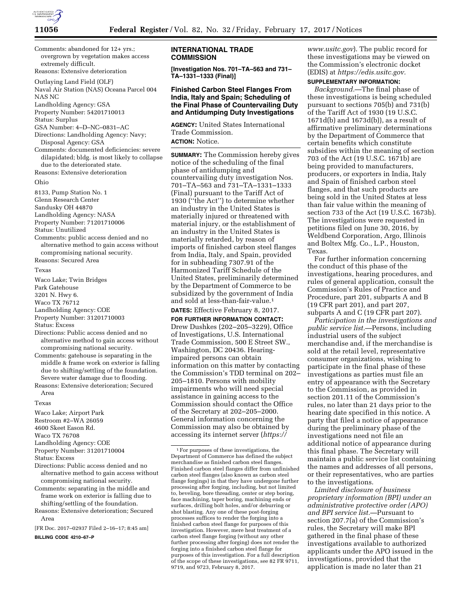

Comments: abandoned for 12+ yrs.; overgrown by vegetation makes access extremely difficult.

Reasons: Extensive deterioration

Outlaying Land Field (OLF)

Naval Air Station (NAS) Oceana Parcel 004 NAS NC

Landholding Agency: GSA

Property Number: 54201710013

Status: Surplus

GSA Number: 4–D–NC–0831–AC

- Directions: Landholding Agency: Navy; Disposal Agency: GSA
- Comments: documented deficiencies: severe dilapidated; bldg. is most likely to collapse due to the deteriorated state.

Reasons: Extensive deterioration

### Ohio

8133, Pump Station No. 1

Glenn Research Center

Sandusky OH 44870

Landholding Agency: NASA

Property Number: 71201710006

Status: Unutilized

Comments: public access denied and no alternative method to gain access without compromising national security. Reasons: Secured Area

Texas

- Waco Lake; Twin Bridges Park Gatehouse
- 3201 N. Hwy 6.

Waco TX 76712

Landholding Agency: COE

Property Number: 31201710003

Status: Excess

- Directions: Public access denied and no alternative method to gain access without compromising national security.
- Comments: gatehouse is separating in the middle & frame work on exterior is falling due to shifting/settling of the foundation. Severe water damage due to flooding.
- Reasons: Extensive deterioration; Secured Area

#### Texas

Waco Lake; Airport Park

Restroom #2–WA 26059

4600 Skeet Eason Rd.

- Waco TX 76708
- Landholding Agency: COE
- Property Number: 31201710004
- Status: Excess
- Directions: Public access denied and no alternative method to gain access without compromising national security.
- Comments: separating in the middle and frame work on exterior is falling due to shifting/settling of the foundation.
- Reasons: Extensive deterioration; Secured Area

[FR Doc. 2017–02937 Filed 2–16–17; 8:45 am]

**BILLING CODE 4210–67–P** 

## **INTERNATIONAL TRADE COMMISSION**

**[Investigation Nos. 701–TA–563 and 731– TA–1331–1333 (Final)]** 

# **Finished Carbon Steel Flanges From India, Italy and Spain; Scheduling of the Final Phase of Countervailing Duty and Antidumping Duty Investigations**

**AGENCY:** United States International Trade Commission. **ACTION:** Notice.

**SUMMARY:** The Commission hereby gives notice of the scheduling of the final phase of antidumping and countervailing duty investigation Nos. 701–TA–563 and 731–TA–1331–1333 (Final) pursuant to the Tariff Act of 1930 (''the Act'') to determine whether an industry in the United States is materially injured or threatened with material injury, or the establishment of an industry in the United States is materially retarded, by reason of imports of finished carbon steel flanges from India, Italy, and Spain, provided for in subheading 7307.91 of the Harmonized Tariff Schedule of the United States, preliminarily determined by the Department of Commerce to be subsidized by the government of India and sold at less-than-fair-value.1

**DATES:** Effective February 8, 2017.

**FOR FURTHER INFORMATION CONTACT:**  Drew Dushkes (202–205–3229), Office of Investigations, U.S. International Trade Commission, 500 E Street SW., Washington, DC 20436. Hearingimpaired persons can obtain information on this matter by contacting the Commission's TDD terminal on 202– 205–1810. Persons with mobility impairments who will need special assistance in gaining access to the Commission should contact the Office of the Secretary at 202–205–2000. General information concerning the Commission may also be obtained by accessing its internet server (*[https://](https://www.usitc.gov)*

*[www.usitc.gov](https://www.usitc.gov)*). The public record for these investigations may be viewed on the Commission's electronic docket (EDIS) at *[https://edis.usitc.gov.](https://edis.usitc.gov)* 

# **SUPPLEMENTARY INFORMATION:**

*Background.*—The final phase of these investigations is being scheduled pursuant to sections 705(b) and 731(b) of the Tariff Act of 1930 (19 U.S.C. 1671d(b) and 1673d(b)), as a result of affirmative preliminary determinations by the Department of Commerce that certain benefits which constitute subsidies within the meaning of section 703 of the Act (19 U.S.C. 1671b) are being provided to manufacturers, producers, or exporters in India, Italy and Spain of finished carbon steel flanges, and that such products are being sold in the United States at less than fair value within the meaning of section 733 of the Act (19 U.S.C. 1673b). The investigations were requested in petitions filed on June 30, 2016, by Weldbend Corporation, Argo, Illinois and Boltex Mfg. Co., L.P., Houston, Texas.

For further information concerning the conduct of this phase of the investigations, hearing procedures, and rules of general application, consult the Commission's Rules of Practice and Procedure, part 201, subparts A and B (19 CFR part 201), and part 207, subparts A and C (19 CFR part 207).

*Participation in the investigations and public service list.*—Persons, including industrial users of the subject merchandise and, if the merchandise is sold at the retail level, representative consumer organizations, wishing to participate in the final phase of these investigations as parties must file an entry of appearance with the Secretary to the Commission, as provided in section 201.11 of the Commission's rules, no later than 21 days prior to the hearing date specified in this notice. A party that filed a notice of appearance during the preliminary phase of the investigations need not file an additional notice of appearance during this final phase. The Secretary will maintain a public service list containing the names and addresses of all persons, or their representatives, who are parties to the investigations.

*Limited disclosure of business proprietary information (BPI) under an administrative protective order (APO) and BPI service list.*—Pursuant to section 207.7(a) of the Commission's rules, the Secretary will make BPI gathered in the final phase of these investigations available to authorized applicants under the APO issued in the investigations, provided that the application is made no later than 21

<sup>1</sup>For purposes of these investigations, the Department of Commerce has defined the subject merchandise as finished carbon steel flanges. Finished carbon steel flanges differ from unfinished carbon steel flanges (also known as carbon steel flange forgings) in that they have undergone further processing after forging, including, but not limited to, beveling, bore threading, center or step boring, face machining, taper boring, machining ends or surfaces, drilling bolt holes, and/or deburring or shot blasting. Any one of these post-forging processes suffices to render the forging into a finished carbon steel flange for purposes of this investigation. However, mere heat treatment of a carbon steel flange forging (without any other further processing after forging) does not render the forging into a finished carbon steel flange for purposes of this investigation. For a full description of the scope of these investigations, see 82 FR 9711, 9719, and 9723, February 8, 2017.